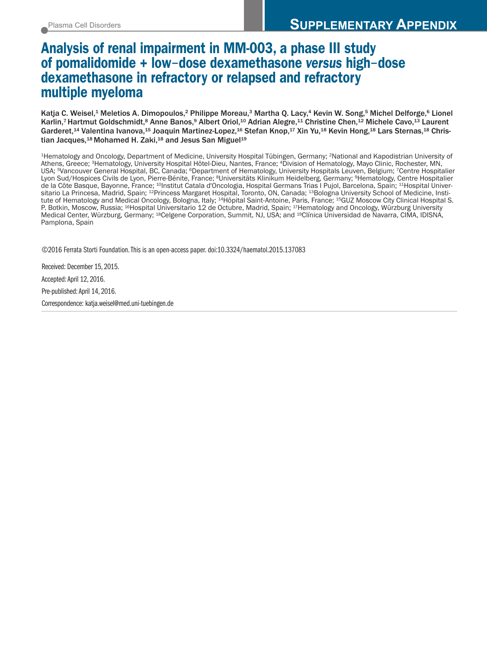## **Analysis of renal impairment in MM-003, a phase III study of pomalidomide + low**-**dose dexamethasone** *versus* **high**-**dose dexamethasone in refractory or relapsed and refractory multiple myeloma**

Katja C. Weisel,<sup>1</sup> Meletios A. Dimopoulos,<sup>2</sup> Philippe Moreau,<sup>3</sup> Martha Q. Lacy,<sup>4</sup> Kevin W. Song,<sup>5</sup> Michel Delforge,<sup>6</sup> Lionel Karlin,<sup>7</sup> Hartmut Goldschmidt,<sup>8</sup> Anne Banos,<sup>9</sup> Albert Oriol,<sup>10</sup> Adrian Alegre,<sup>11</sup> Christine Chen,<sup>12</sup> Michele Cavo,<sup>13</sup> Laurent Garderet,<sup>14</sup> Valentina Ivanova,<sup>15</sup> Joaquin Martinez-Lopez,<sup>16</sup> Stefan Knop,<sup>17</sup> Xin Yu,<sup>18</sup> Kevin Hong,<sup>18</sup> Lars Sternas,<sup>18</sup> Christian Jacques,<sup>18</sup> Mohamed H. Zaki,<sup>18</sup> and Jesus San Miguel<sup>19</sup>

1Hematology and Oncology, Department of Medicine, University Hospital Tübingen, Germany; 2National and Kapodistrian University of Athens, Greece; 3Hematology, University Hospital Hôtel-Dieu, Nantes, France; 4Division of Hematology, Mayo Clinic, Rochester, MN, USA; 5Vancouver General Hospital, BC, Canada; 6Department of Hematology, University Hospitals Leuven, Belgium; 7Centre Hospitalier Lyon Sud/Hospices Civils de Lyon, Pierre-Bénite, France; 8Universitäts Klinikum Heidelberg, Germany; 9Hematology, Centre Hospitalier de la Côte Basque, Bayonne, France; <sup>10</sup>Institut Catala d'Oncologia, Hospital Germans Trias I Pujol, Barcelona, Spain; <sup>11</sup>Hospital Universitario La Princesa, Madrid, Spain; 12Princess Margaret Hospital, Toronto, ON, Canada; 13Bologna University School of Medicine, Institute of Hematology and Medical Oncology, Bologna, Italy; 14Hôpital Saint-Antoine, Paris, France; 15GUZ Moscow City Clinical Hospital S. P. Botkin, Moscow, Russia; <sup>16</sup>Hospital Universitario 12 de Octubre, Madrid, Spain; <sup>17</sup>Hematology and Oncology, Würzburg University Medical Center, Würzburg, Germany; 18Celgene Corporation, Summit, NJ, USA; and 19Clínica Universidad de Navarra, CIMA, IDISNA, Pamplona, Spain

©2016 Ferrata Storti Foundation.This is an open-access paper. doi:10.3324/haematol.2015.137083

Received: December 15, 2015.

Accepted:April 12, 2016.

Pre-published: April 14, 2016.

Correspondence: katja.weisel@med.uni-tuebingen.de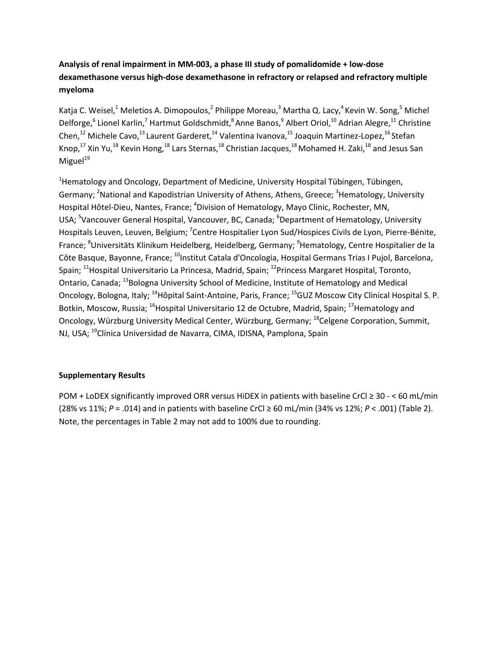## **Analysis of renal impairment in MM-003, a phase III study of pomalidomide + low-dose dexamethasone versus high-dose dexamethasone in refractory or relapsed and refractory multiple myeloma**

Katja C. Weisel,<sup>1</sup> Meletios A. Dimopoulos,<sup>2</sup> Philippe Moreau,<sup>3</sup> Martha Q. Lacy,<sup>4</sup> Kevin W. Song,<sup>5</sup> Michel Delforge,<sup>6</sup> Lionel Karlin,<sup>7</sup> Hartmut Goldschmidt,<sup>8</sup> Anne Banos,<sup>9</sup> Albert Oriol,<sup>10</sup> Adrian Alegre,<sup>11</sup> Christine Chen, $^{12}$  Michele Cavo, $^{13}$  Laurent Garderet, $^{14}$  Valentina Ivanova, $^{15}$  Joaquin Martinez-Lopez, $^{16}$ Stefan Knop,<sup>17</sup> Xin Yu,<sup>18</sup> Kevin Hong,<sup>18</sup> Lars Sternas,<sup>18</sup> Christian Jacques,<sup>18</sup> Mohamed H. Zaki,<sup>18</sup> and Jesus San Miguel $19$ 

<sup>1</sup>Hematology and Oncology, Department of Medicine, University Hospital Tübingen, Tübingen, Germany; <sup>2</sup>National and Kapodistrian University of Athens, Athens, Greece; <sup>3</sup>Hematology, University Hospital Hôtel-Dieu, Nantes, France; <sup>4</sup>Division of Hematology, Mayo Clinic, Rochester, MN, USA; <sup>5</sup>Vancouver General Hospital, Vancouver, BC, Canada; <sup>6</sup>Department of Hematology, University Hospitals Leuven, Leuven, Belgium; <sup>7</sup>Centre Hospitalier Lyon Sud/Hospices Civils de Lyon, Pierre-Bénite, France; <sup>8</sup>Universitäts Klinikum Heidelberg, Heidelberg, Germany; <sup>9</sup>Hematology, Centre Hospitalier de la Côte Basque, Bayonne, France; <sup>10</sup>Institut Catala d'Oncologia, Hospital Germans Trias I Pujol, Barcelona, Spain; <sup>11</sup>Hospital Universitario La Princesa, Madrid, Spain; <sup>12</sup>Princess Margaret Hospital, Toronto, Ontario, Canada; <sup>13</sup>Bologna University School of Medicine, Institute of Hematology and Medical Oncology, Bologna, Italy; <sup>14</sup>Hôpital Saint-Antoine, Paris, France; <sup>15</sup>GUZ Moscow City Clinical Hospital S. P. Botkin, Moscow, Russia; <sup>16</sup>Hospital Universitario 12 de Octubre, Madrid, Spain; <sup>17</sup>Hematology and Oncology, Würzburg University Medical Center, Würzburg, Germany; <sup>18</sup>Celgene Corporation, Summit, NJ, USA; 19Clínica Universidad de Navarra, CIMA, IDISNA, Pamplona, Spain

## **Supplementary Results**

POM + LoDEX significantly improved ORR versus HiDEX in patients with baseline CrCl ≥ 30 - < 60 mL/min (28% vs 11%; *P* = .014) and in patients with baseline CrCl ≥ 60 mL/min (34% vs 12%; *P* < .001) (Table 2). Note, the percentages in Table 2 may not add to 100% due to rounding.